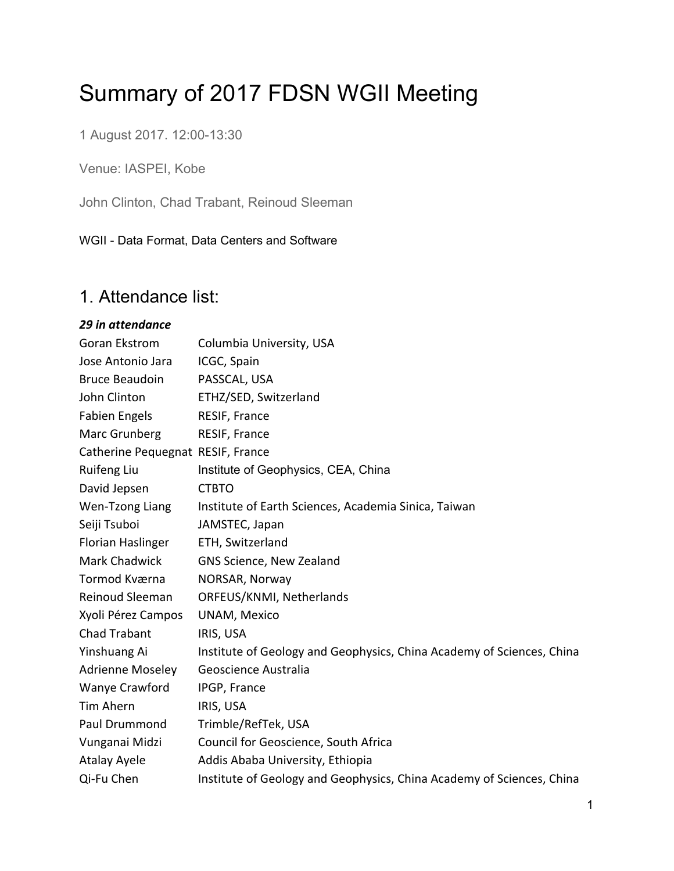# Summary of 2017 FDSN WGII Meeting

1 August 2017. 12:00-13:30

Venue: IASPEI, Kobe

John Clinton, Chad Trabant, Reinoud Sleeman

WGII - Data Format, Data Centers and Software

## 1. Attendance list:

#### *29 in attendance*

| <b>Goran Ekstrom</b>              | Columbia University, USA                                              |
|-----------------------------------|-----------------------------------------------------------------------|
| Jose Antonio Jara                 | ICGC, Spain                                                           |
| <b>Bruce Beaudoin</b>             | PASSCAL, USA                                                          |
| John Clinton                      | ETHZ/SED, Switzerland                                                 |
| <b>Fabien Engels</b>              | RESIF, France                                                         |
| Marc Grunberg                     | RESIF, France                                                         |
| Catherine Pequegnat RESIF, France |                                                                       |
| <b>Ruifeng Liu</b>                | Institute of Geophysics, CEA, China                                   |
| David Jepsen                      | <b>CTBTO</b>                                                          |
| Wen-Tzong Liang                   | Institute of Earth Sciences, Academia Sinica, Taiwan                  |
| Seiji Tsuboi                      | JAMSTEC, Japan                                                        |
| Florian Haslinger                 | ETH, Switzerland                                                      |
| Mark Chadwick                     | GNS Science, New Zealand                                              |
| Tormod Kværna                     | NORSAR, Norway                                                        |
| <b>Reinoud Sleeman</b>            | ORFEUS/KNMI, Netherlands                                              |
| Xyoli Pérez Campos                | <b>UNAM, Mexico</b>                                                   |
| Chad Trabant                      | IRIS, USA                                                             |
| Yinshuang Ai                      | Institute of Geology and Geophysics, China Academy of Sciences, China |
| <b>Adrienne Moseley</b>           | Geoscience Australia                                                  |
| Wanye Crawford                    | IPGP, France                                                          |
| Tim Ahern                         | IRIS, USA                                                             |
| Paul Drummond                     | Trimble/RefTek, USA                                                   |
| Vunganai Midzi                    | Council for Geoscience, South Africa                                  |
| <b>Atalay Ayele</b>               | Addis Ababa University, Ethiopia                                      |
| Qi-Fu Chen                        | Institute of Geology and Geophysics, China Academy of Sciences, China |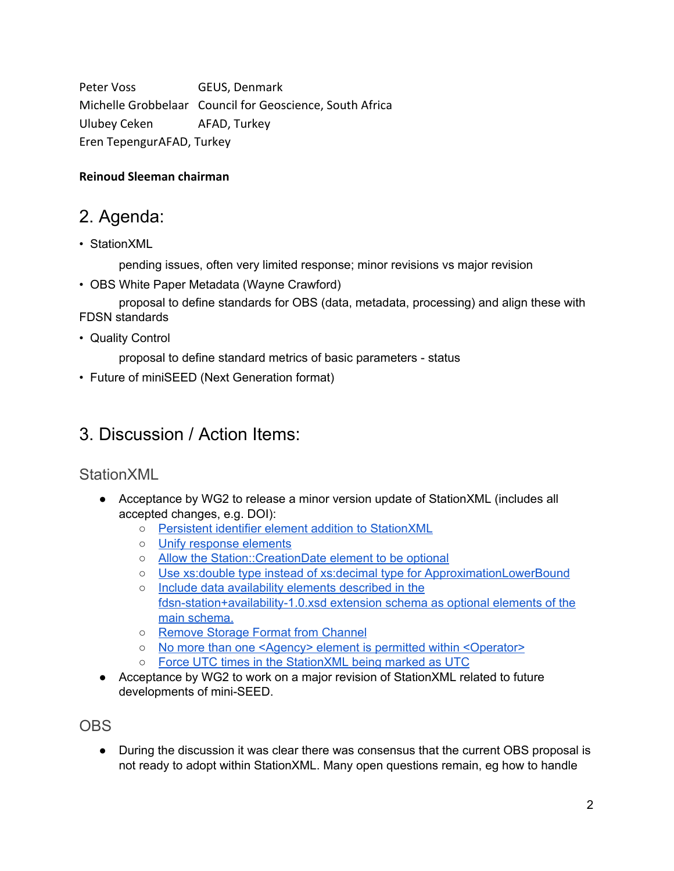Peter Voss GEUS, Denmark Michelle Grobbelaar Council for Geoscience, South Africa Ulubey Ceken AFAD, Turkey Eren TepengurAFAD, Turkey

#### **Reinoud Sleeman chairman**

## 2. Agenda:

• StationXML

pending issues, often very limited response; minor revisions vs major revision

• OBS White Paper Metadata (Wayne Crawford)

proposal to define standards for OBS (data, metadata, processing) and align these with FDSN standards

• Quality Control

proposal to define standard metrics of basic parameters - status

• Future of miniSEED (Next Generation format)

## 3. Discussion / Action Items:

#### StationXML

- Acceptance by WG2 to release a minor version update of StationXML (includes all accepted changes, e.g. DOI):
	- Persistent identifier element addition to [StationXML](http://www.fdsn.org/message-center/thread/180/#m-332)
	- Unify [response](http://www.fdsn.org/message-center/thread/115) elements
	- Allow the [Station::CreationDate](http://www.fdsn.org/message-center/thread/113/) element to be optional
	- Use xs:double type instead of xs:decimal type for [ApproximationLowerBound](http://www.fdsn.org/message-center/thread/113/)
	- Include data [availability](http://www.fdsn.org/message-center/thread/113/) elements described in the [fdsn-station+availability-1.0.xsd](http://www.fdsn.org/message-center/thread/113/) extension schema as optional elements of the main [schema.](http://www.fdsn.org/message-center/thread/113/)
	- Remove Storage Format from [Channel](http://www.fdsn.org/message-center/thread/193/)
	- No more than one <Agency> element is permitted within [<Operator>](http://www.fdsn.org/message-center/thread/272/)
	- Force UTC times in the [StationXML](http://www.fdsn.org/message-center/thread/464/) being marked as UTC
- Acceptance by WG2 to work on a major revision of StationXML related to future developments of mini-SEED.

#### **OBS**

• During the discussion it was clear there was consensus that the current OBS proposal is not ready to adopt within StationXML. Many open questions remain, eg how to handle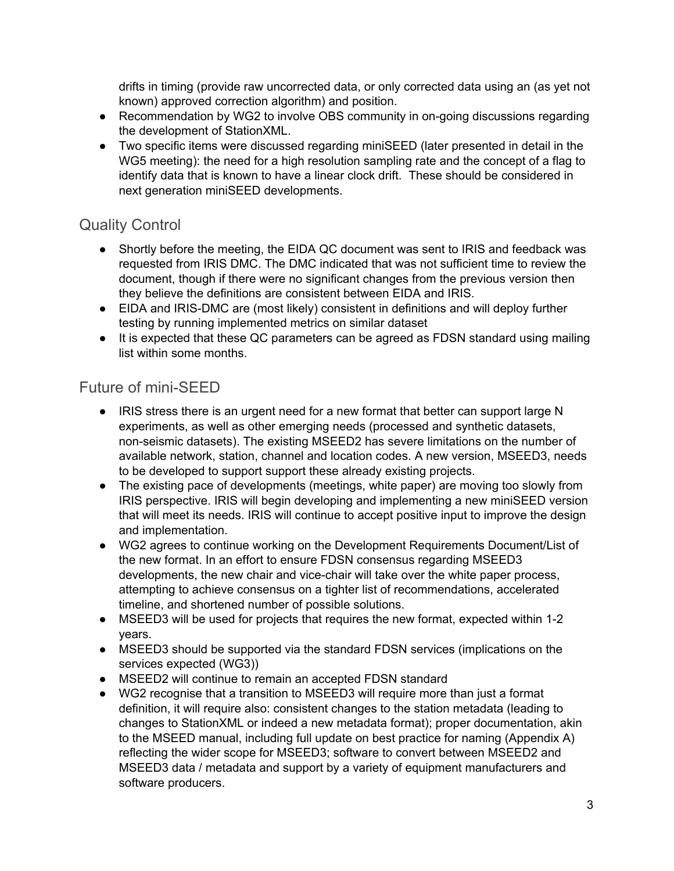drifts in timing (provide raw uncorrected data, or only corrected data using an (as yet not known) approved correction algorithm) and position.

- Recommendation by WG2 to involve OBS community in on-going discussions regarding the development of StationXML.
- Two specific items were discussed regarding miniSEED (later presented in detail in the WG5 meeting): the need for a high resolution sampling rate and the concept of a flag to identify data that is known to have a linear clock drift. These should be considered in next generation miniSEED developments.

#### Quality Control

- Shortly before the meeting, the EIDA QC document was sent to IRIS and feedback was requested from IRIS DMC. The DMC indicated that was not sufficient time to review the document, though if there were no significant changes from the previous version then they believe the definitions are consistent between EIDA and IRIS.
- EIDA and IRIS-DMC are (most likely) consistent in definitions and will deploy further testing by running implemented metrics on similar dataset
- It is expected that these QC parameters can be agreed as FDSN standard using mailing list within some months.

### Future of mini-SEED

- IRIS stress there is an urgent need for a new format that better can support large N experiments, as well as other emerging needs (processed and synthetic datasets, non-seismic datasets). The existing MSEED2 has severe limitations on the number of available network, station, channel and location codes. A new version, MSEED3, needs to be developed to support support these already existing projects.
- The existing pace of developments (meetings, white paper) are moving too slowly from IRIS perspective. IRIS will begin developing and implementing a new miniSEED version that will meet its needs. IRIS will continue to accept positive input to improve the design and implementation.
- WG2 agrees to continue working on the Development Requirements Document/List of the new format. In an effort to ensure FDSN consensus regarding MSEED3 developments, the new chair and vice-chair will take over the white paper process, attempting to achieve consensus on a tighter list of recommendations, accelerated timeline, and shortened number of possible solutions.
- MSEED3 will be used for projects that requires the new format, expected within 1-2 years.
- MSEED3 should be supported via the standard FDSN services (implications on the services expected (WG3))
- MSEED2 will continue to remain an accepted FDSN standard
- WG2 recognise that a transition to MSEED3 will require more than just a format definition, it will require also: consistent changes to the station metadata (leading to changes to StationXML or indeed a new metadata format); proper documentation, akin to the MSEED manual, including full update on best practice for naming (Appendix A) reflecting the wider scope for MSEED3; software to convert between MSEED2 and MSEED3 data / metadata and support by a variety of equipment manufacturers and software producers.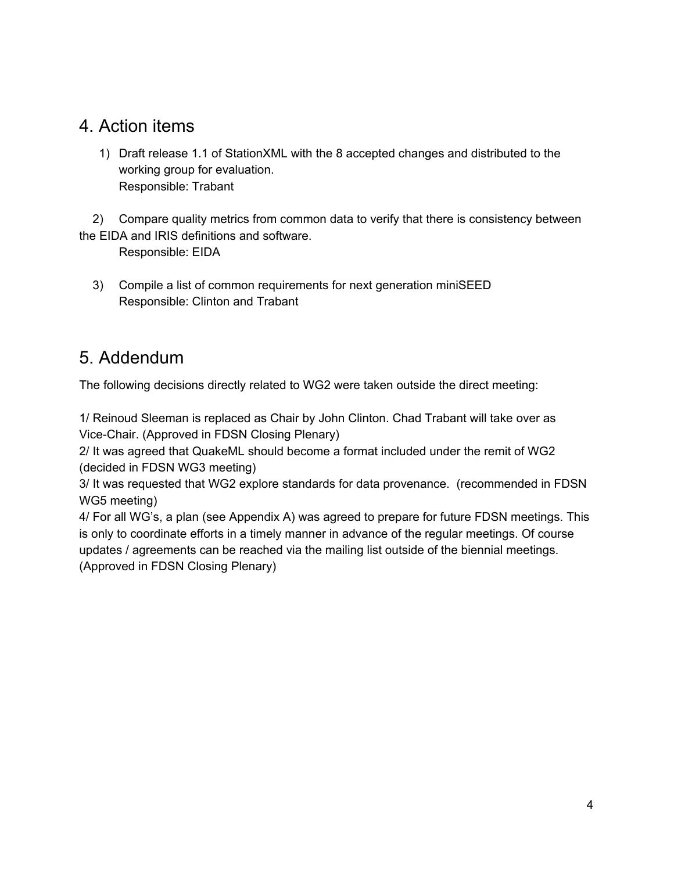## 4. Action items

1) Draft release 1.1 of StationXML with the 8 accepted changes and distributed to the working group for evaluation. Responsible: Trabant

2) Compare quality metrics from common data to verify that there is consistency between the EIDA and IRIS definitions and software.

Responsible: EIDA

3) Compile a list of common requirements for next generation miniSEED Responsible: Clinton and Trabant

## 5. Addendum

The following decisions directly related to WG2 were taken outside the direct meeting:

1/ Reinoud Sleeman is replaced as Chair by John Clinton. Chad Trabant will take over as Vice-Chair. (Approved in FDSN Closing Plenary)

2/ It was agreed that QuakeML should become a format included under the remit of WG2 (decided in FDSN WG3 meeting)

3/ It was requested that WG2 explore standards for data provenance. (recommended in FDSN WG5 meeting)

4/ For all WG's, a plan (see Appendix A) was agreed to prepare for future FDSN meetings. This is only to coordinate efforts in a timely manner in advance of the regular meetings. Of course updates / agreements can be reached via the mailing list outside of the biennial meetings. (Approved in FDSN Closing Plenary)